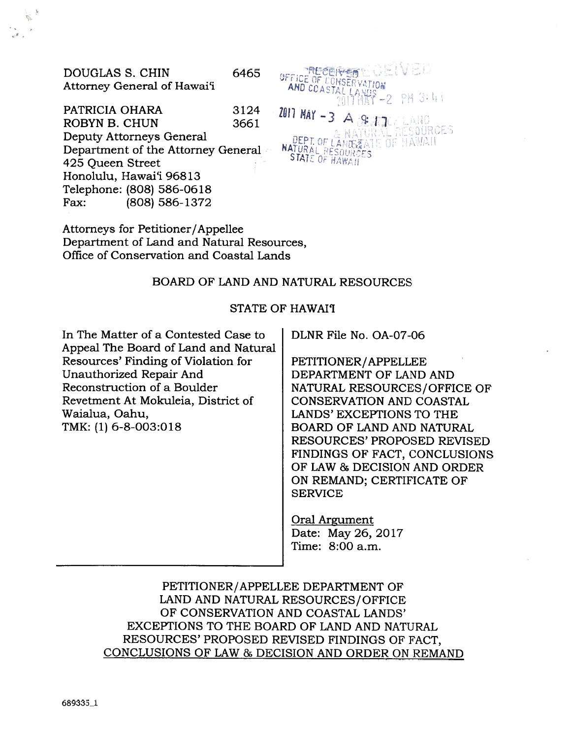DOUGLAS S. CHIN Attorney General of Hawai'i

PATRICIA OHARA ROBYN B. CHUN Deputy Attorneys General Department of the Attorney General 425 Queen Street Honolulu, Hawai'i 96813 Telephone: (808) 586-0618 Fax: (808) 586-1372  $3124$  2011 MAY -3 A **SHI** 

Attorneys for Petitioner/Appellee Department of Land and Natural Resources, Office of Conservation and Coastal Lands

# BOARD OF LAND AND NATURAL RESOURCES

6465 **- Anticoline Marchael McContract Contract Contract Contract Contract Contract Contract Contract Contract C** 

AND COAST

# STATE OF HAWAI'I

In The Matter of <sup>a</sup> Contested Case to Appeal The Board of Land and Natural Resources' Finding of Violation for Unauthorized Repair And Reconstruction of <sup>a</sup> Boulder Revetment At Mokuleia, District of Waialua, Oahu, TMK: (1) 6-8-003:018

DLNR File No. OA-07-06

DEPT OF LANDS ATE OF HAWAIT

 $\frac{1}{2}$   $\frac{1}{2}$   $\frac{1}{2}$   $\frac{1}{2}$   $\frac{1}{2}$   $\frac{1}{2}$   $\frac{1}{2}$   $\frac{1}{2}$   $\frac{1}{2}$   $\frac{1}{2}$   $\frac{1}{2}$   $\frac{1}{2}$   $\frac{1}{2}$   $\frac{1}{2}$   $\frac{1}{2}$   $\frac{1}{2}$   $\frac{1}{2}$   $\frac{1}{2}$   $\frac{1}{2}$   $\frac{1}{2}$   $\frac{1}{2}$   $\frac{1}{2}$ 

**PH 3:44** 

SOURCES

PETITIONER/APPELLEE DEPARTMENT OF LAND AND NATURAL RESOURCES/OFFICE OF CONSERVATION AND COASTAL LANDS' EXCEPTIONS TO THE BOARD OF LAND AND NATURAL RESOURCES' PROPOSED REVISED FINDINGS OF FACT, CONCLUSIONS OF LAW & DECISION AND ORDER ON REMAND; CERTIFICATE OF SERVICE

Oral Argument Date: May26, 2017 Time: 8:00 a.m.

PETITIONER/APPELLEE DEPARTMENT OF LAND AND NATURAL RESOURCES/OFFICE OF CONSERVATION AND COASTAL LANDS' EXCEPTIONS TO THE BOARD OF LAND AND NATURAL RESOURCES' PROPOSED REVISED FINDINGS OF FACT, CONCLUSIONS OF LAW & DECISION AND ORDER ON REMAND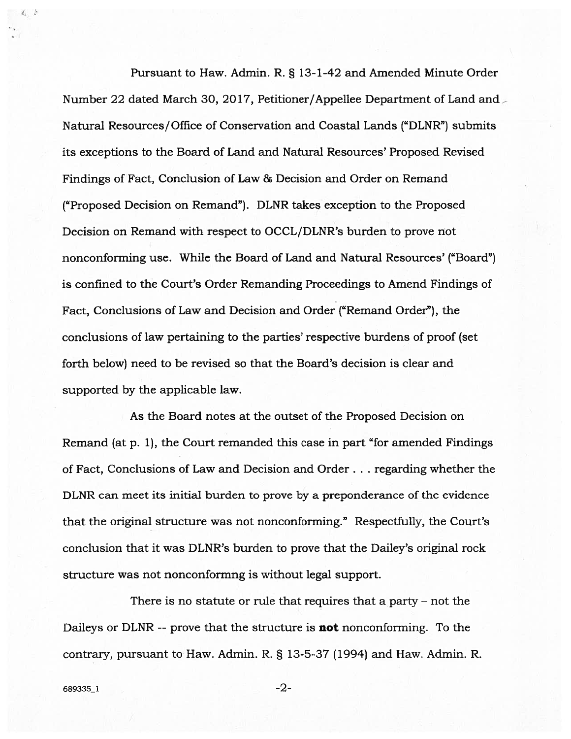Pursuant to Haw. Admin. R. § 13-1-42 and Amended Minute Order Number 22 dated March 30, 2017, Petitioner/Appellee Department of Land and Natural Resources/Office of Conservation and Coastal Lands ("DLNR") submits its exceptions to the Board of Land and Natural Resources' Proposed Revised Findings of Fact, Conclusion of Law & Decision and Order on Remand ("Proposed Decision on Remand"). DLNR takes exception to the Proposed Decision on Remand with respec<sup>t</sup> to OCCL/DLNR's burden to prove not nonconforming use. While the Board of Land and Natural Resources' ("Board") is confined to the Court's Order Remanding Proceedings to Amend Findings of Fact, Conclusions of Law and Decision and Order ("Remand Order"), the conclusions of law pertaining to the parties' respective burdens of proof (set forth below) need to be revised so that the Board's decision is clear and supported by the applicable law.

As the Board notes at the outset of the Proposed Decision on Remand (at p. 1), the Court remanded this case in par<sup>t</sup> "for amended Findings of Fact, Conclusions of Law and Decision and Order. . . regarding whether the DLNR can meet its initial burden to prove by <sup>a</sup> preponderance of the evidence that the original structure was not nonconforming." Respectfully, the Court's conclusion that it was DLNR's burden to prove that the Dailey's original rock structure was not nonconformng is without legal support.

There is no statute or rule that requires that <sup>a</sup> party — not the Daileys or DLNR -- prove that the structure is **not** nonconforming. To the contrary, pursuan<sup>t</sup> to Haw. Admin. R. § 13-5-37 (1994) and Haw. Admin. R.

 $4.5$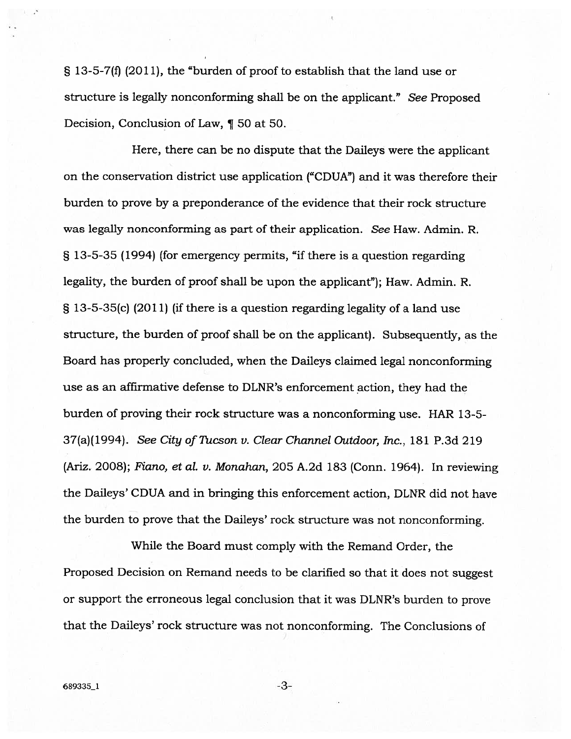§ 13-5-7(f) (2011), the "burden of proo<sup>f</sup> to establish that the land use or structure is legally nonconforming shall be on the applicant." See Proposed Decision, Conclusion of Law, ¶ <sup>50</sup> at 50.

Here, there can be no dispute that the Daileys were the applicant on the conservation district use application ("CDUA") and it was therefore their burden to prove by <sup>a</sup> preponderance of the evidence that their rock structure was legally nonconforming as par<sup>t</sup> of their application. See Haw. Admin. R. § 13-5-35 (1994) (for emergency permits, "if there is <sup>a</sup> question regarding legality, the burden of proof shall be upon the applicant"); Haw. Admin. R. § 13-5-35(c) (2011) (if there is <sup>a</sup> question regarding legality of <sup>a</sup> land use structure, the burden of proof shall be on the applicant). Subsequently, as the Board has properly concluded, when the Daileys claimed legal nonconforming use as an affirmative defense to DLNR's enforcement action, they had the burden of proving their rock structure was <sup>a</sup> nonconforming use. HAR 13-5- 37(a)(1994). See City of Tucson v. Clear Channel Outdoor, Inc., 181 P.3d 219 (Ariz. 2008); Fiano, et al. v. Monahan, 205 A.2d 183 (Conn. 1964). In reviewing the Daileys' CDUA and in bringing this enforcement action, DLNR did not have the burden to prove that the Daileys' rock structure was not nonconforming.

While the Board must comply with the Remand Order, the Proposed Decision on Remand needs to be clarified so that it does not sugges<sup>t</sup> or suppor<sup>t</sup> the erroneous legal conclusion that it was DLNR's burden to prove that the Daileys' rock structure was not nonconforming. The Conclusions of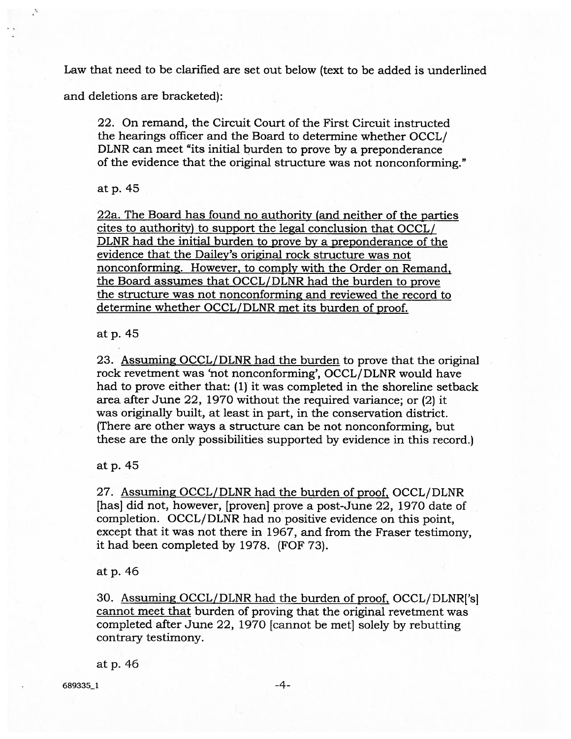Law that need to be clarified are set out below (text to be added is underlined

and deletions are bracketed):

22. On remand, the Circuit Court of the First Circuit instructed the hearings officer and the Board to determine whether OCCL/ DLNR can meet "its initial burden to prove by <sup>a</sup> preponderance of the evidence that the original structure was not nonconforming."

at p.45

22a. The Board has found no authority (and neither of the parties cites to authority) to suppor<sup>t</sup> the legal conclusion that OCCL/ DLNR had the initial burden to prove by <sup>a</sup> preponderance of the evidence that the Dailey's original rock structure was not nonconforming. However, to comply with the Order on Remand, the Board assumes that OCCL/DLNR had the burden to prove the structure was not nonconforming and reviewed the record to determine whether OCCL/DLNR met its burden of proof.

at p. <sup>45</sup>

23. Assuming OCCL/DLNR had the burden to prove that the original rock revetment was 'not nonconforming', OCCL/DLNR would have had to prove either that: (1) it was completed in the shoreline setback area after June 22, 1970 without the required variance; or (2) it was originally built, at least in part, in the conservation district. (There are other ways <sup>a</sup> structure can be not nonconforming, but these are the only possibilities supported by evidence in this record.)

at p. <sup>45</sup>

27. Assuming OCCL/DLNR had the burden of proof, OCCL/DLNR [has] did not, however, [proven] prove <sup>a</sup> post-June 22, 1970 date of completion. OCCL/DLNR had no positive evidence on this point, excep<sup>t</sup> that it was not there in 1967, and from the Fraser testimony, it had been completed by 1978. (FOF 73).

at p. 46

30. Assuming OCCL/DLNR had the burden of proof, OCCL/DLNR['s] cannot meet that burden of proving that the original revetment was completed after June 22, 1970 [cannot be met] solely by rebutting contrary testimony.

atp.46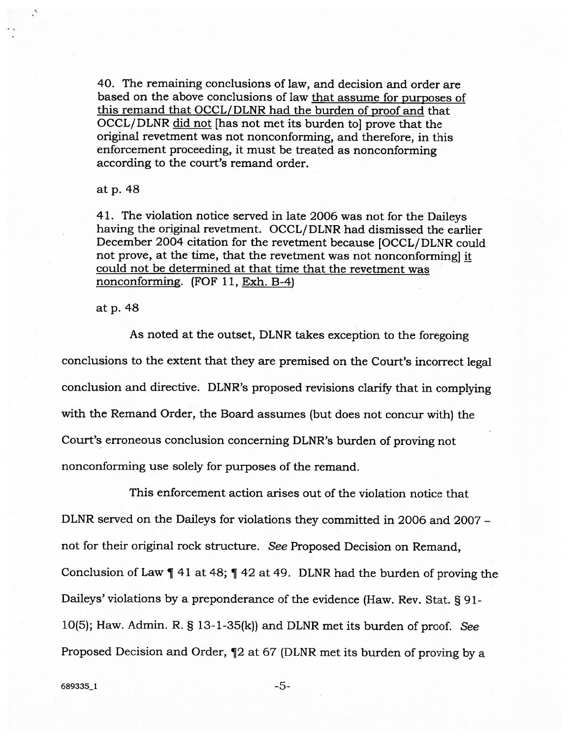40. The remaining conclusions of law, and decision and order are based on the above conclusions of law that assume for purposes of this remand that OCCL/DLNR had the burden of proof and that OCCL/ DLNR did not [has not met its burden to] prove that the original revetment was not nonconforming, and therefore, in this enforcement proceeding, it must be treated as nonconforming according to the court's remand order.

at p. <sup>48</sup>

41. The violation notice served in late <sup>2006</sup> was not for the Daileys having the original revetment. OCCL/ DLNR had dismissed the earlier December 2004 citation for the revetment because [OCCL/ DLNR could not prove, at the time, that the revetment was not nonconforming] it could not be determined at that time that the revetment was nonconforming. (FOF 11, Exh. B-4)

at p. <sup>48</sup>

As noted at the outset, DLNR takes exception to the foregoing conclusions to the extent that they are premised on the Court's incorrect legal conclusion and directive. DLNR's proposed revisions clarify that in complying with the Remand Order, the Board assumes (but does not concur with) the Court's erroneous conclusion concerning DLNR's burden of proving not nonconforming use solely for purposes of the remand.

This enforcement action arises out of the violation notice that DLNR served on the Daileys for violations they committed in 2006 and 2007 not for their original rock structure. See Proposed Decision on Remand, Conclusion of Law ¶ <sup>41</sup> at 48; ¶ <sup>42</sup> at 49. DLNR had the burden of proving the Daileys' violations by <sup>a</sup> preponderance of the evidence (Haw. Rev. Stat. § 91- 10(5); Haw. Admin. R.  $\S$  13-1-35(k)) and DLNR met its burden of proof. See Proposed Decision and Order, ¶2 at <sup>67</sup> (DLNR met its burden of proving by <sup>a</sup>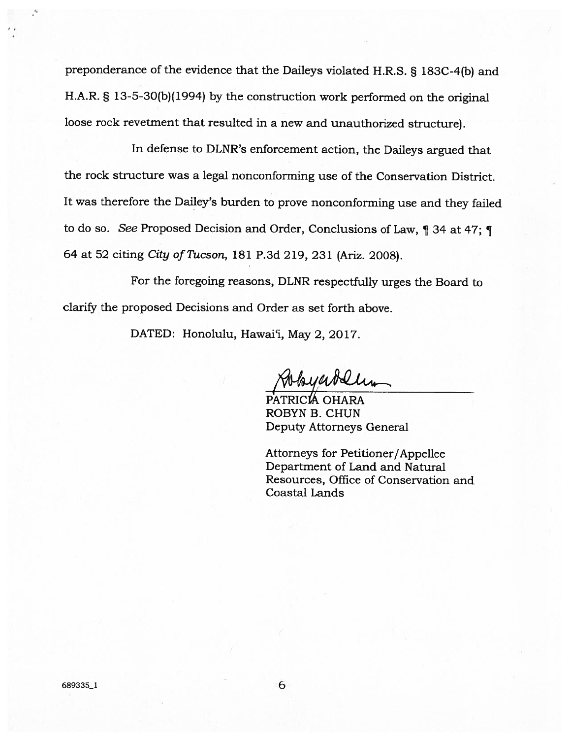preponderance of the evidence that the Daileys violated H.R.S. § 183C-4(b) and FLA.R. § 13-5-30(b)(1994) by the construction work performed on the original loose rock revetment that resulted in <sup>a</sup> new and unauthorized structure).

In defense to DLNR's enforcement action, the Daileys argued that the rock structure was <sup>a</sup> legal nonconforming use of the Conservation District. It was therefore the Dailey's burden to prove nonconforming use and they failed to do so. See Proposed Decision and Order, Conclusions of Law, ¶ <sup>34</sup> at 47; ¶ <sup>64</sup> at <sup>52</sup> citing City of Tucson, <sup>181</sup> P.3d 219, <sup>231</sup> (Ariz. 2008).

For the foregoing reasons, DLNR respectfully urges the Board to clarify the proposed Decisions and Order as set forth above.

DATED: Honolulu, Hawai'i, May 2, 2017.

PATRICIA OHARA ROBYN B. CHUN Deputy Attorneys General

Attorneys for Petitioner/Appellee Department of Land and Natural Resources, Office of Conservation and Coastal Lands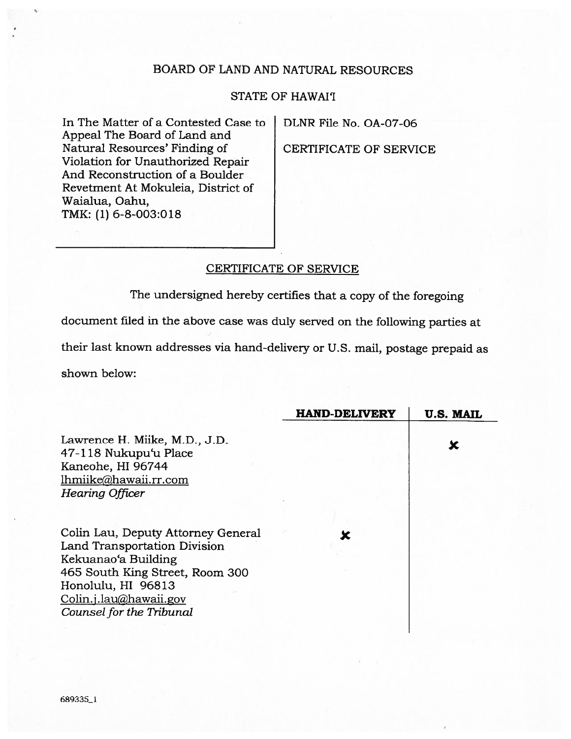# BOARD OF LAND AND NATURAL RESOURCES

# STATE OF HAWAI'I

In The Matter of a Contested Case to DLNR File No. OA-07-06 Appeal The Board of Land and Natural Resources' Finding of CERTIFICATE OF SERVICE Violation for Unauthorized Repair And Reconstruction of <sup>a</sup> Boulder Revetment At Mokuleia, District of Waialua, Oahu, TMK: (1) 6-8-003:018

# CERTIFICATE OF SERVICE

The undersigned hereby certifies that <sup>a</sup> copy of the foregoing

document filed in the above case was duly served on the following parties at

their last known addresses via hand-delivery or U.S. mail, postage prepaid as

shown below:

|                                    | <b>HAND-DELIVERY</b> | <b>U.S. MAIL</b> |
|------------------------------------|----------------------|------------------|
| Lawrence H. Miike, M.D., J.D.      |                      | X                |
| 47-118 Nukupu'u Place              |                      |                  |
| Kaneohe, HI 96744                  |                      |                  |
| lhmiike@hawaii.rr.com              |                      |                  |
| <b>Hearing Officer</b>             |                      |                  |
|                                    |                      |                  |
|                                    |                      |                  |
| Colin Lau, Deputy Attorney General |                      |                  |
| Land Transportation Division       |                      |                  |
| Kekuanao'a Building                |                      |                  |
| 465 South King Street, Room 300    |                      |                  |
| Honolulu, HI 96813                 |                      |                  |
| Colin.j.lau@hawaii.gov             |                      |                  |
| Counsel for the Tribunal           |                      |                  |
|                                    |                      |                  |